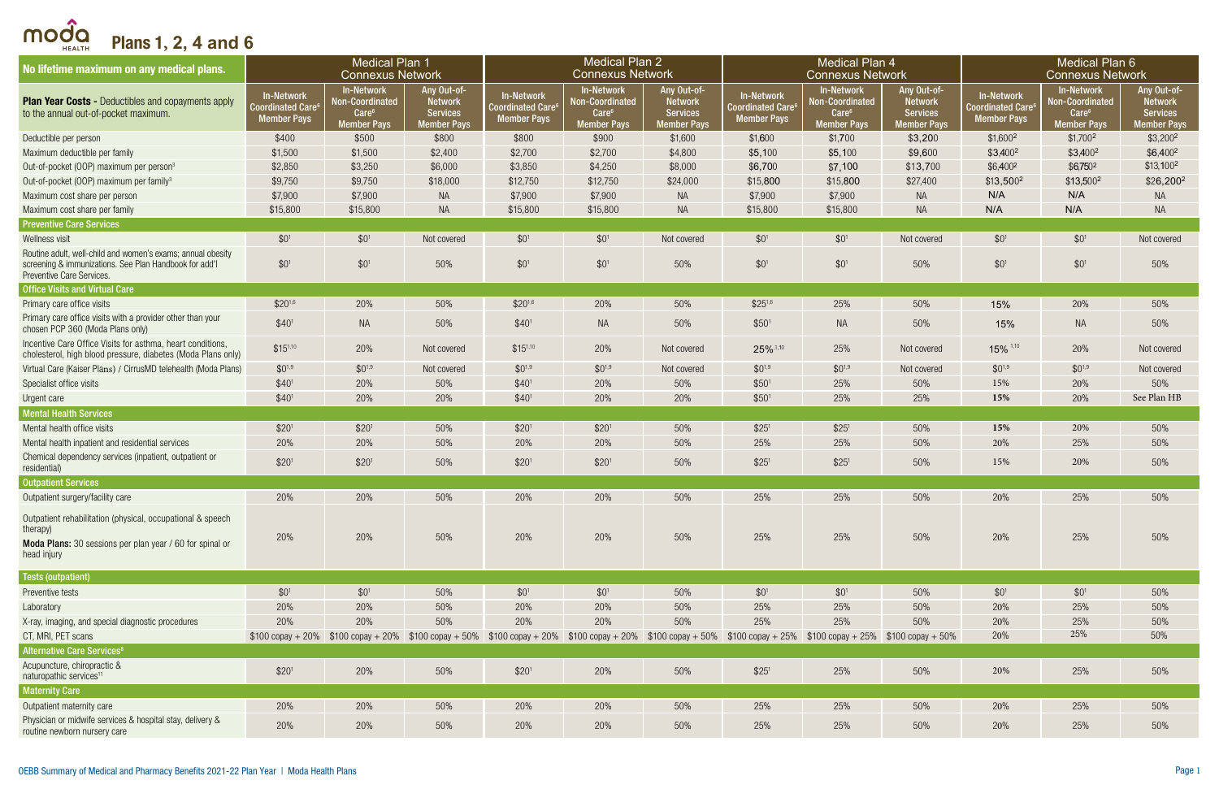| No lifetime maximum on any medical plans.                                                                                                                | <b>Medical Plan 1</b><br><b>Connexus Network</b>                   |                                                                               |                                                                        | <b>Medical Plan 2</b><br><b>Connexus Network</b>                                                                                                                                              |                                                                                 |                                                                        |                                                                          | <b>Medical Plan 4</b><br><b>Connexus Network</b>                                |                                                                        | <b>Medical Plan 6</b><br><b>Connexus Network</b>                  |                                                                                        |                                                                        |
|----------------------------------------------------------------------------------------------------------------------------------------------------------|--------------------------------------------------------------------|-------------------------------------------------------------------------------|------------------------------------------------------------------------|-----------------------------------------------------------------------------------------------------------------------------------------------------------------------------------------------|---------------------------------------------------------------------------------|------------------------------------------------------------------------|--------------------------------------------------------------------------|---------------------------------------------------------------------------------|------------------------------------------------------------------------|-------------------------------------------------------------------|----------------------------------------------------------------------------------------|------------------------------------------------------------------------|
| <b>Plan Year Costs - Deductibles and copayments apply</b><br>to the annual out-of-pocket maximum.                                                        | <b>In-Network</b><br><b>Coordinated Care</b><br><b>Member Pays</b> | <b>In-Network</b><br>Non-Coordinated<br>$\text{Care}^6$<br><b>Member Pays</b> | Any Out-of-<br><b>Network</b><br><b>Services</b><br><b>Member Pays</b> | In-Network<br>Coordinated Care <sup>6</sup><br><b>Member Pays</b>                                                                                                                             | <b>In-Network</b><br>Non-Coordinated<br>Care <sup>6</sup><br><b>Member Pays</b> | Any Out-of-<br><b>Network</b><br><b>Services</b><br><b>Member Pays</b> | <b>In-Network</b><br>Coordinated Care <sup>6</sup><br><b>Member Pays</b> | <b>In-Network</b><br>Non-Coordinated<br>Care <sup>6</sup><br><b>Member Pays</b> | Any Out-of-<br><b>Network</b><br><b>Services</b><br><b>Member Pays</b> | In-Network<br>Coordinated Care <sup>6</sup><br><b>Member Pays</b> | <b>In-Network</b><br><b>Non-Coordinated</b><br>Care <sup>6</sup><br><b>Member Pays</b> | Any Out-of-<br><b>Network</b><br><b>Services</b><br><b>Member Pays</b> |
| Deductible per person                                                                                                                                    | \$400                                                              | \$500                                                                         | \$800                                                                  | \$800                                                                                                                                                                                         | \$900                                                                           | \$1,600                                                                | \$1,600                                                                  | \$1,700                                                                         | \$3,200                                                                | $$1,600^2$                                                        | $$1,700^2$                                                                             | $$3,200^2$                                                             |
| Maximum deductible per family                                                                                                                            | \$1,500                                                            | \$1,500                                                                       | \$2,400                                                                | \$2,700                                                                                                                                                                                       | \$2,700                                                                         | \$4,800                                                                | \$5,100                                                                  | \$5,100                                                                         | \$9,600                                                                | $$3,400^2$                                                        | $$3,400^2$                                                                             | $$6,400^2$                                                             |
| Out-of-pocket (OOP) maximum per person <sup>3</sup>                                                                                                      | \$2,850                                                            | \$3,250                                                                       | \$6,000                                                                | \$3,850                                                                                                                                                                                       | \$4,250                                                                         | \$8,000                                                                | \$6,700                                                                  | \$7,100                                                                         | \$13,700                                                               | $$6,400^2$                                                        | $$6,750^2$                                                                             | $$13,100^2$                                                            |
| Out-of-pocket (OOP) maximum per family <sup>3</sup>                                                                                                      | \$9,750                                                            | \$9,750                                                                       | \$18,000                                                               | \$12,750                                                                                                                                                                                      | \$12,750                                                                        | \$24,000                                                               | \$15,800                                                                 | \$15,800                                                                        | \$27,400                                                               | $$13,500^2$                                                       | \$13,500 <sup>2</sup>                                                                  | \$26,200 <sup>2</sup>                                                  |
| Maximum cost share per person                                                                                                                            | \$7,900                                                            | \$7,900                                                                       | <b>NA</b>                                                              | \$7,900                                                                                                                                                                                       | \$7,900                                                                         | <b>NA</b>                                                              | \$7,900                                                                  | \$7,900                                                                         | <b>NA</b>                                                              | N/A                                                               | N/A                                                                                    | <b>NA</b>                                                              |
| Maximum cost share per family                                                                                                                            | \$15,800                                                           | \$15,800                                                                      | <b>NA</b>                                                              | \$15,800                                                                                                                                                                                      | \$15,800                                                                        | <b>NA</b>                                                              | \$15,800                                                                 | \$15,800                                                                        | <b>NA</b>                                                              | N/A                                                               | N/A                                                                                    | <b>NA</b>                                                              |
| <b>Preventive Care Services</b>                                                                                                                          |                                                                    |                                                                               |                                                                        |                                                                                                                                                                                               |                                                                                 |                                                                        |                                                                          |                                                                                 |                                                                        |                                                                   |                                                                                        |                                                                        |
| Wellness visit                                                                                                                                           | $$0^1$                                                             | $$0^1$                                                                        | Not covered                                                            | $$0^1$                                                                                                                                                                                        | $$0^1$$                                                                         | Not covered                                                            | $$0^1$                                                                   | \$0 <sup>1</sup>                                                                | Not covered                                                            | $$0^1$$                                                           | $$0^1$$                                                                                | Not covered                                                            |
| Routine adult, well-child and women's exams; annual obesity<br>screening & immunizations. See Plan Handbook for add'l<br>Preventive Care Services.       | $$0^1$                                                             | $$0^1$$                                                                       | 50%                                                                    | $$0^1$                                                                                                                                                                                        | $$0^1$$                                                                         | 50%                                                                    | $$0^1$                                                                   | $$0^1$$                                                                         | 50%                                                                    | $$0^1$$                                                           | $$0^1$$                                                                                | 50%                                                                    |
| <b>Office Visits and Virtual Care</b>                                                                                                                    |                                                                    |                                                                               |                                                                        |                                                                                                                                                                                               |                                                                                 |                                                                        |                                                                          |                                                                                 |                                                                        |                                                                   |                                                                                        |                                                                        |
| Primary care office visits                                                                                                                               | $$20^{1,6}$                                                        | 20%                                                                           | 50%                                                                    | $$20^{1,6}$                                                                                                                                                                                   | 20%                                                                             | 50%                                                                    | $$25^{1,6}$                                                              | 25%                                                                             | 50%                                                                    | 15%                                                               | 20%                                                                                    | 50%                                                                    |
| Primary care office visits with a provider other than your<br>chosen PCP 360 (Moda Plans only)                                                           | \$40 <sup>1</sup>                                                  | <b>NA</b>                                                                     | 50%                                                                    | \$40 <sup>1</sup>                                                                                                                                                                             | <b>NA</b>                                                                       | 50%                                                                    | \$50 <sup>1</sup>                                                        | <b>NA</b>                                                                       | 50%                                                                    | 15%                                                               | <b>NA</b>                                                                              | 50%                                                                    |
| Incentive Care Office Visits for asthma, heart conditions,<br>cholesterol, high blood pressure, diabetes (Moda Plans only)                               | $$15^{1,10}$                                                       | 20%                                                                           | Not covered                                                            | $$15^{1,10}$                                                                                                                                                                                  | 20%                                                                             | Not covered                                                            | 25%,1,10                                                                 | 25%                                                                             | Not covered                                                            | $15\%$ <sup>1,10</sup>                                            | 20%                                                                                    | Not covered                                                            |
| Virtual Care (Kaiser Plans) / CirrusMD telehealth (Moda Plans)                                                                                           | $$0^{1,9}$                                                         | $$0^{1,9}$                                                                    | Not covered                                                            | $$0^{1,9}$                                                                                                                                                                                    | $$0^{1,9}$                                                                      | Not covered                                                            | $$0^{1,9}$                                                               | $$0^{1,9}$                                                                      | Not covered                                                            | $$0^{1,9}$                                                        | $$0^{1,9}$                                                                             | Not covered                                                            |
| Specialist office visits                                                                                                                                 | \$40 <sup>1</sup>                                                  | 20%                                                                           | 50%                                                                    | \$40 <sup>1</sup>                                                                                                                                                                             | 20%                                                                             | 50%                                                                    | \$50 <sup>1</sup>                                                        | 25%                                                                             | 50%                                                                    | 15%                                                               | 20%                                                                                    | 50%                                                                    |
| Urgent care                                                                                                                                              | \$40 <sup>1</sup>                                                  | 20%                                                                           | 20%                                                                    | \$40 <sup>1</sup>                                                                                                                                                                             | 20%                                                                             | 20%                                                                    | \$50 <sup>1</sup>                                                        | 25%                                                                             | 25%                                                                    | 15%                                                               | 20%                                                                                    | See Plan HB                                                            |
| <b>Mental Health Services</b>                                                                                                                            |                                                                    |                                                                               |                                                                        |                                                                                                                                                                                               |                                                                                 |                                                                        |                                                                          |                                                                                 |                                                                        |                                                                   |                                                                                        |                                                                        |
| Mental health office visits                                                                                                                              | \$20 <sup>1</sup>                                                  | \$20 <sup>1</sup>                                                             | 50%                                                                    | \$20 <sup>1</sup>                                                                                                                                                                             | \$20 <sup>1</sup>                                                               | 50%                                                                    | \$25 <sup>1</sup>                                                        | \$25 <sup>1</sup>                                                               | 50%                                                                    | 15%                                                               | 20%                                                                                    | 50%                                                                    |
| Mental health inpatient and residential services                                                                                                         | 20%                                                                | 20%                                                                           | 50%                                                                    | 20%                                                                                                                                                                                           | 20%                                                                             | 50%                                                                    | 25%                                                                      | 25%                                                                             | 50%                                                                    | 20%                                                               | 25%                                                                                    | 50%                                                                    |
| Chemical dependency services (inpatient, outpatient or<br>residential)                                                                                   | \$20 <sup>1</sup>                                                  | \$20 <sup>1</sup>                                                             | 50%                                                                    | \$20 <sup>1</sup>                                                                                                                                                                             | \$20 <sup>1</sup>                                                               | 50%                                                                    | \$25 <sup>1</sup>                                                        | \$25 <sup>1</sup>                                                               | 50%                                                                    | 15%                                                               | 20%                                                                                    | 50%                                                                    |
| <b>Outpatient Services</b>                                                                                                                               |                                                                    |                                                                               |                                                                        |                                                                                                                                                                                               |                                                                                 |                                                                        |                                                                          |                                                                                 |                                                                        |                                                                   |                                                                                        |                                                                        |
| Outpatient surgery/facility care                                                                                                                         | 20%                                                                | 20%                                                                           | 50%                                                                    | 20%                                                                                                                                                                                           | 20%                                                                             | 50%                                                                    | 25%                                                                      | 25%                                                                             | 50%                                                                    | 20%                                                               | 25%                                                                                    | 50%                                                                    |
| Outpatient rehabilitation (physical, occupational & speech<br>therapy)<br><b>Moda Plans:</b> 30 sessions per plan year / 60 for spinal or<br>head injury | 20%                                                                | 20%                                                                           | 50%                                                                    | 20%                                                                                                                                                                                           | 20%                                                                             | 50%                                                                    | 25%                                                                      | 25%                                                                             | 50%                                                                    | 20%                                                               | 25%                                                                                    | 50%                                                                    |
| Tests (outpatient)                                                                                                                                       |                                                                    |                                                                               |                                                                        |                                                                                                                                                                                               |                                                                                 |                                                                        |                                                                          |                                                                                 |                                                                        |                                                                   |                                                                                        |                                                                        |
| Preventive tests                                                                                                                                         | $$0^1$                                                             | $$0^1$                                                                        | 50%                                                                    | $$0^1$                                                                                                                                                                                        | $$0^1$$                                                                         | 50%                                                                    | $$0^1$                                                                   | $$0^1$$                                                                         | 50%                                                                    | $$0^1$$                                                           | $$0^1$$                                                                                | 50%                                                                    |
| Laboratory                                                                                                                                               | 20%                                                                | 20%                                                                           | 50%                                                                    | 20%                                                                                                                                                                                           | 20%                                                                             | 50%                                                                    | 25%                                                                      | 25%                                                                             | 50%                                                                    | 20%                                                               | 25%                                                                                    | 50%                                                                    |
| X-ray, imaging, and special diagnostic procedures                                                                                                        | 20%                                                                | 20%                                                                           | 50%                                                                    | 20%                                                                                                                                                                                           | 20%                                                                             | 50%                                                                    | 25%                                                                      | 25%                                                                             | 50%                                                                    | 20%                                                               | 25%                                                                                    | 50%                                                                    |
| CT, MRI, PET scans                                                                                                                                       |                                                                    |                                                                               |                                                                        | $$100$ copay + 20% $$100$ copay + 20% $$100$ copay + 50% $$100$ copay + 20% $$100$ copay + 20% $$100$ copay + 50% $$100$ copay + 50% $$100$ copay + 25% $$100$ copay + 25% $$100$ copay + 50% |                                                                                 |                                                                        |                                                                          |                                                                                 |                                                                        | 20%                                                               | 25%                                                                                    | 50%                                                                    |
| <b>Alternative Care Services<sup>8</sup></b>                                                                                                             |                                                                    |                                                                               |                                                                        |                                                                                                                                                                                               |                                                                                 |                                                                        |                                                                          |                                                                                 |                                                                        |                                                                   |                                                                                        |                                                                        |
| Acupuncture, chiropractic &<br>naturopathic services <sup>11</sup>                                                                                       | \$20 <sup>1</sup>                                                  | 20%                                                                           | 50%                                                                    | \$20 <sup>1</sup>                                                                                                                                                                             | 20%                                                                             | 50%                                                                    | \$25 <sup>1</sup>                                                        | 25%                                                                             | 50%                                                                    | 20%                                                               | 25%                                                                                    | 50%                                                                    |
| <b>Maternity Care</b>                                                                                                                                    |                                                                    |                                                                               |                                                                        |                                                                                                                                                                                               |                                                                                 |                                                                        |                                                                          |                                                                                 |                                                                        |                                                                   |                                                                                        |                                                                        |
| Outpatient maternity care                                                                                                                                | 20%                                                                | 20%                                                                           | 50%                                                                    | 20%                                                                                                                                                                                           | 20%                                                                             | 50%                                                                    | 25%                                                                      | 25%                                                                             | 50%                                                                    | 20%                                                               | 25%                                                                                    | 50%                                                                    |
| Physician or midwife services & hospital stay, delivery &<br>routine newborn nursery care                                                                | 20%                                                                | 20%                                                                           | 50%                                                                    | 20%                                                                                                                                                                                           | 20%                                                                             | 50%                                                                    | 25%                                                                      | 25%                                                                             | 50%                                                                    | 20%                                                               | 25%                                                                                    | 50%                                                                    |

moda Plans 1**, 2, 4 and 6**